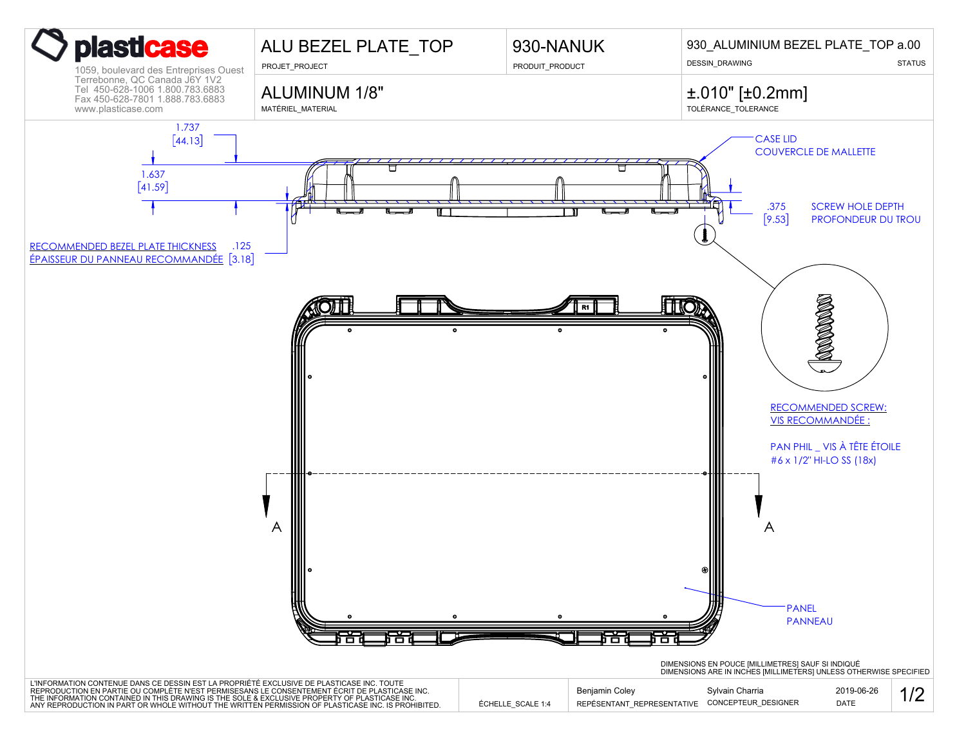